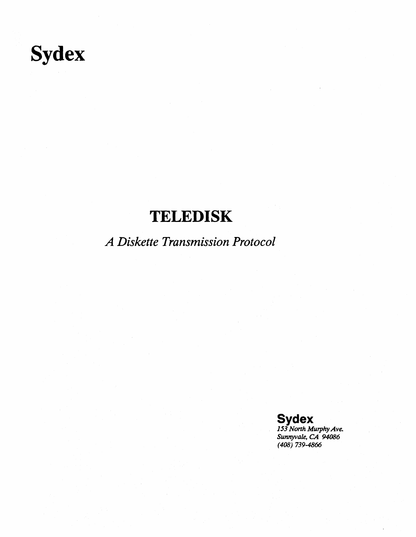# **Sydex**

# **TELEDISK**

*A Diskette Transmission Protocol* 

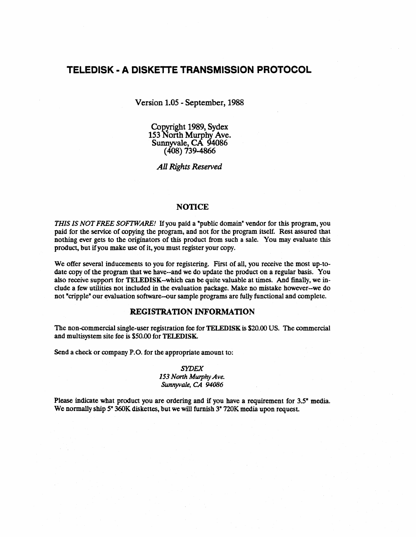### **TELEDISK • A DISKETTE TRANSMISSION PROTOCOL**

Version 1.05 - September, 1988

Copyright 1989, Sydex 153 North Murphy Ave. Sunnyvale, CA 94086 (408) 739-4866

*All Rights Reserved* 

#### **NOTICE**

*THIS IS NOT FREE SOFTWARE!* If you paid a "public domain" vendor for this program, you paid for the service of copying the program, and not for the program itself. Rest assured that nothing ever gets to the originators of this product from such a sale. You may evaluate this product, but if you make use of it, you must register your copy.

We offer several inducements to you for registering. First of all, you receive the most up-todate copy of the program that we have--and we do update the product on a regular basis. You also receive support for TELEDISK--which can be quite valuable at times. And finally, we include a few utilities not included in the evaluation package. Make no mistake however-we do not "cripple" our evaluation software-our sample programs are fully functional and complete.

#### REGISTRATION INFORMATION

The non-commercial single-user registration fee for TELEDISK is \$20.00 US. The commercial and multisystem site fee is \$50.00 for TELEDISK.

Send a check or company P.O. for the appropriate amount to:

#### *SYDEX*

*153 North Murphy Ave. Sunnyvale, CA 94086* 

Please indicate what product you are ordering and if you have a requirement for 3.5" media. We normally ship 5" 360K diskettes, but we will furnish 3" 720K media upon request.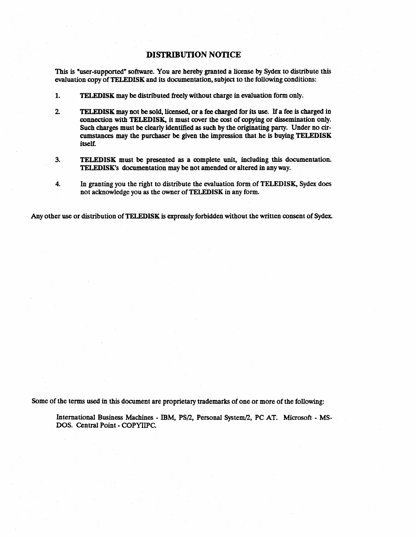#### DISTRIBUTION NOTICE

This is "user-supported" software. You are hereby granted a license by Sydex to distribute this evaluation copy of TELEDISK and its documentation, subject to the following conditions:

- 1. TELEDISK may be distributed freely without charge in evaluation form only.
- 2 TELEDISK may not be sold, licensed, or a fee charged for its use. If a fee is charged in connection with TELEDISK, it must cover the cost of copying or dissemination only. Such charges must be clearly identified as such by the originating party. Under no circumstances may the purchaser be given the impression that he is buying TELEDISK itself.
- 3. TELEDISK must be presented as a complete unit, including this documentation. TELEDISK's documentation may be not amended or altered in any way.
- 4. In granting you the right to distribute the evaluation form of TELEDISK, Sydex does not acknowledge you as the owner of TELEDISK in any form.

Any other use or distribution of TELEDISK is expressly forbidden without the written consent of Sydex.

Some of the terms used in this document are proprietary trademarks of one or more of the following:

International Business Machines - IBM, PS/2, Personal System/2, PC AT. Microsoft - MS-DOS. Central Point - COPYIIPC.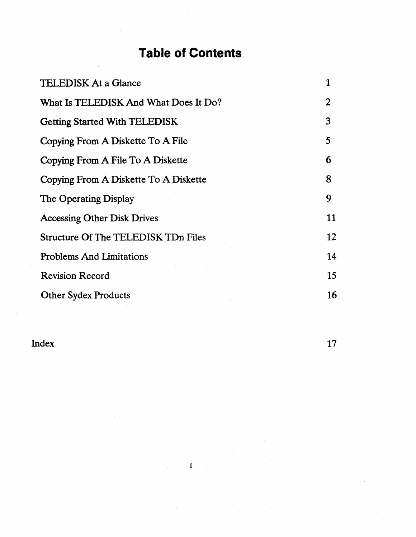## **Table of Contents**

| <b>TELEDISK At a Glance</b>           |    |
|---------------------------------------|----|
| What Is TELEDISK And What Does It Do? | 2  |
| <b>Getting Started With TELEDISK</b>  | 3  |
| Copying From A Diskette To A File     | 5  |
| Copying From A File To A Diskette     | 6  |
| Copying From A Diskette To A Diskette | 8  |
| The Operating Display                 | 9  |
| <b>Accessing Other Disk Drives</b>    | 11 |
| Structure Of The TELEDISK TDn Files   | 12 |
| <b>Problems And Limitations</b>       | 14 |
| <b>Revision Record</b>                | 15 |
| <b>Other Sydex Products</b>           | 16 |

**Index** 17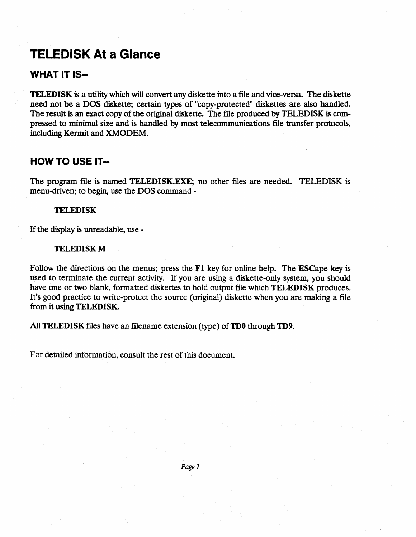### TELEDISK At a Glance

### WHAT IT IS-

TELEDISK is a utility which will convert any diskette into a file and vice-versa. The diskette need not be a DOS diskette; certain types of "copy-protected" diskettes are also handled. The result is an exact copy of the original diskette. The file produced by TELEDISK is compressed to minimal size and is handled by most telecommunications file transfer protocols, including Kermit and XMODEM.

### HOW TO USE IT-

The program file is named TELEDISK.EXE; no other files are needed. TELEDISK is menu-driven; to begin, use the DOS command -

#### **TELEDISK**

If the display is unreadable, use -

#### **TELEDISK M**

Follow the directions on the menus; press the Fl key for online help. The ESCape key is used to terminate the current activity. If you are using a diskette-only system, you should have one or two blank, formatted diskettes to hold output file which TELEDISK produces. It's good practice to write-protect the source (original) diskette when you are making a file from it using TELEDISK.

All TELEDISK files have an filename extension (type) of TD0 through TD9.

For detailed information, consult the rest of this document.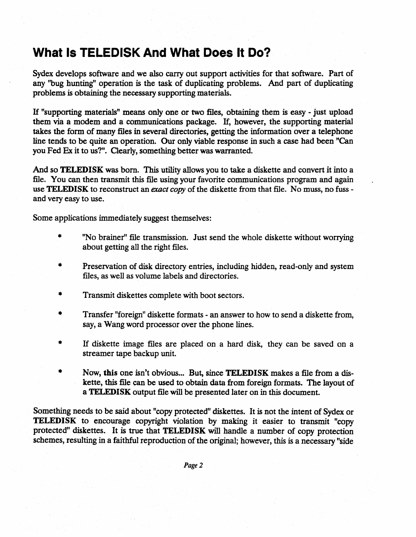### **What Is TELEDISK And What Does It Do?**

Sydex develops software and we also carry out support activities for that software. Part of any ''bug hunting" operation is the task of duplicating problems. And part of duplicating problems is obtaining the necessary supporting materials.

H "supporting materials" means only one or two files, obtaining them is easy - just upload them via a modem and a communications package. H, however, the supporting material takes the form of many files in several directories, getting the information over a telephone line tends to be quite an operation. Our only viable response in such a case had been "Can you Fed Ex it to us?". Clearly, something better was warranted.

And so TELEDISK was born. This utility allows you to take a diskette and convert it into a file. You can then transmit this file using your favorite communications program and again use **TELEDISK** to reconstruct an *exact copy* of the diskette from that file. No muss, no fuss and very easy to use.

Some applications immediately suggest themselves:

- \* "No brainer" file transmission. Just send the whole diskette without worrying about getting all the right files.
- \* Preservation of disk directory entries, including hidden, read-only and system files, as well as volume labels and directories.
- \* Transmit diskettes complete with boot sectors.
- \* Transfer "foreign" diskette formats - an answer to how to send a diskette from, say, a Wang word processor over the phone lines.
- \* If diskette image files are placed on a hard disk, they can be saved on a streamer tape backup unit.
- \* Now, this one isn't obvious... But, since TELEDISK makes a file from a diskette, this file can be used to obtain data from foreign formats. The layout of a TELEDISK output file will be presented later on in this document.

Something needs to be said about "copy protected" diskettes. It is not the intent of Sydex or TELEDISK to encourage copyright violation by making it easier to transmit "copy protected" diskettes. It is true that TELEDISK will handle a number of copy protection schemes, resulting in a faithful reproduction of the original; however, this is a necessary "side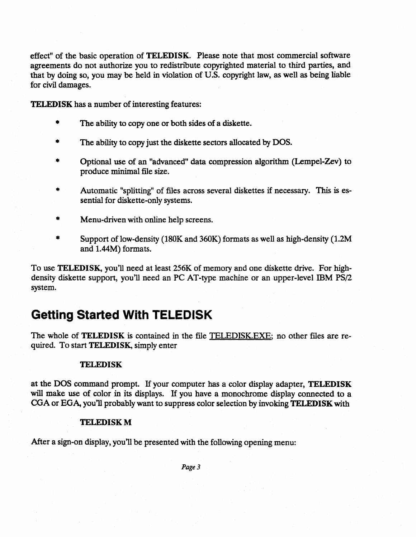effect" of the basic operation of TELEDISK. Please note that most commercial software agreements do not authorize you to redistribute copyrighted material to third parties, and that by doing so, you may be held in violation of U.S. copyright law, as well as being liable for civil damages.

TELEDISK has a number of interesting features:

- The ability to copy one or both sides of a diskette.
- The ability to copy just the diskette sectors allocated by DOS.
- Optional use of an "advanced" data compression algorithm (Lempel-Zev) to produce minimal file size.
- Automatic "splitting" of files across several diskettes if necessary. This is essential for diskette-only systems.
- \* Menu-driven with online help screens.
- \* Support of low-density (180K and 360K) formats as well as high-density (1.2M and 1.44M) formats.

To use TELEDISK, you'll need at least 256K of memory and one diskette drive. For highdensity diskette support, you'll need an PC AT-type machine or an upper-level IBM PS/2 system.

### **Getting Started With TELEDISK**

The whole of TELEDISK is contained in the file TELEDISK.EXE; no other files are required. To start TELEDISK, simply enter

#### **TELEDISK**

at the DOS command prompt. If your computer has a color display adapter, TELEDISK will make use of color in its displays. If you have a monochrome display connected to a CGA or EGA, you'll probably want to suppress color selection by invoking **TELEDISK** with

#### **TELEDISK M**

After a sign-on display, you'll be presented with the following opening menu: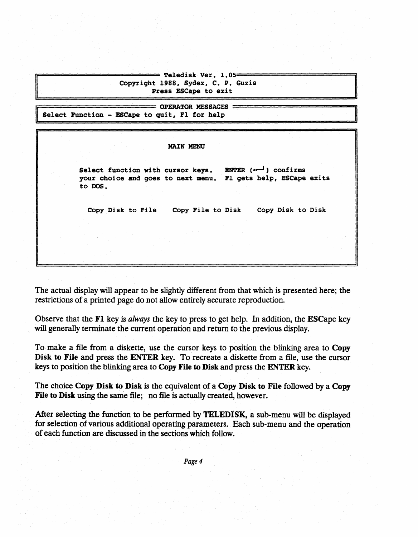Teledisk Ver. 1.05= Copyright 1988, Sydex, C. P. Guzis Press ESCape to exit

OPERATOR MESSAGES<br>Select Function - ESCape to quit, Fl for help

#### MAIN MENU

Select function with cursor keys. ENTER  $(\leftarrow -)$  confirms your choice and goes to next menu. FI gets help, ESCape exits to DOS.

Copy Disk to File Copy File to Disk Copy Disk to Disk

The actual display will appear to be slightly different from that which is presented here; the restrictions of a printed page do not allow entirely accurate reproduction.

Observe that the Fl key is *always* the key to press to get help. In addition, the ESCape key will generally terminate the current operation and return to the previous display.

To make a file from a diskette, use the cursor keys to position the blinking area to Copy Disk to File and press the ENTER key. To recreate a diskette from a file, use the cursor keys to position the blinking area to Copy File to Disk and press the ENTER key.

The choice Copy Disk to Disk is the equivalent of a Copy Disk to File followed by a Copy File to Disk using the same file; no file is actually created, however.

After selecting the function to be performed by TELEDISK, a sub-menu will be displayed for selection of various additional operating parameters. Each sub-menu and the operation of each function are discussed in the sections which follow.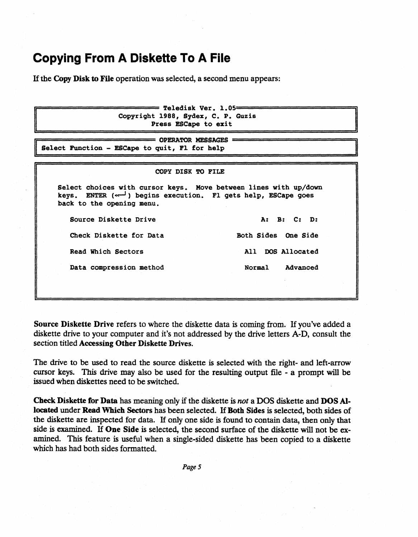### **Copying From A Diskette To A File**

Hthe Copy Disk to File operation was selected, a second menu appears:

 $=$  Teledisk Ver. 1.05= Copyright 1988, Sydex, C. P. Guzis Press ESCape to exit

OPERATOR MESSAGES ==========================ill I Select Function - ESCApe to quit, Fl for help 1

#### COpy DISK TO FILE

Select choices with cursor keys. Move between lines with up/down keys. ENTER  $(\sim)$  begins execution. Fl gets help, ESCape goes back to the opening menu.

Source Diskette Drive A: B: C: D:

Check Diskette for Data Both Sides One Side Read Which Sectors All DOS Allocated

Data compression method Normal Advanced

Source Diskette Drive refers to where the diskette data is coming from. H you've added a diskette drive to your computer and it's not addressed by the drive letters A-D, consult the section titled Accessing Other Diskette Drives.

The drive to be used to read the source diskette is selected with the right- and left-arrow cursor keys. This drive may also be used for the resulting output file - a prompt will be issued when diskettes need to be switched.

Check Diskette for Data has meaning only if the diskette is *not* a DOS diskette and DOS Allocated under Read Which Sectors has been selected. If Both Sides is selected, both sides of the diskette are inspected for data. H only one side is found to contain data, then only that side is examined. If One Side is selected, the second surface of the diskette will not be examined. This feature is useful when a single-sided diskette has been copied to a diskette which has had both sides formatted.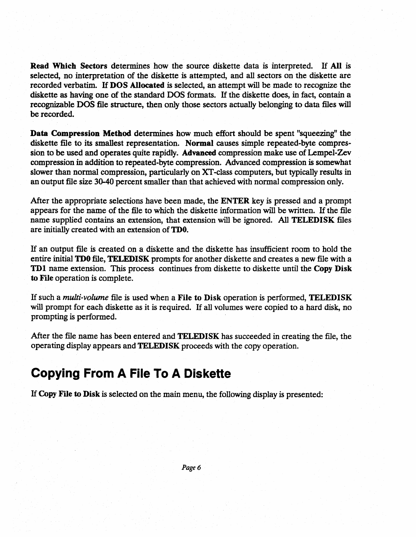Read Which Sectors determines how the source diskette data is interpreted. IT All is selected, no interpretation of the diskette is attempted, and all sectors on the diskette are recorded verbatim. IT DOS Allocated is selected, an attempt will be made to recognize the diskette as having one of the standard DOS formats. IT the diskette does, in fact, contain a recognizable DOS file structure, then only those sectors actually belonging to data files will be recorded.

Data Compression Method determines how much effort should be spent "squeezing" the diskette file to its smallest representation. Normal causes simple repeated-byte compression to be used and operates quite rapidly. Advanced compression make use of Lempel-Zev compression in addition to repeated-byte compression. Advanced compression is somewhat slower than normal compression, particularly on XT -class computers, but typically results in an output file size 30-40 percent smaller than that achieved with normal compression only.

After the appropriate selections have been made, the ENTER key is pressed and a prompt appears for the name of the file to which the diskette information will be written. IT the file name supplied contains an extension, that extension will be ignored. All TELEDISK files are initially created with an extension of TDO.

IT an output file is created on a diskette and the diskette has insufficient room to hold the entire initial **TD0** file, **TELEDISK** prompts for another diskette and creates a new file with a TD1 name extension. This process continues from diskette to diskette until the Copy Disk to File operation is complete.

IT such a *multi-volume* file is used when a File to Disk operation is performed, TELEDISK will prompt for each diskette as it is required. If all volumes were copied to a hard disk, no prompting is performed.

After the file name has been entered and TELEDISK has succeeded in creating the file, the operating display appears and TELEDISK proceeds with the copy operation.

### **Copying From A File To A Diskette**

IT Copy File to Disk is selected on the main menu, the following display is presented: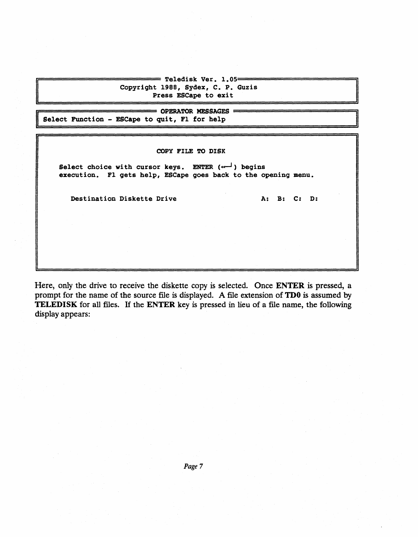Teledisk Ver. 1.05= Copyright 1988, Sydex, C. P. Guzis Press ESCape to exit

= OPERATOR MESSAGES = Select Function - ESCape to quit, Pl for belp

#### COpy FILE TO DISK

Select choice with cursor keys. ENTER  $(\cdots)$  begins execution. F1 gets help, ESCape goes back to the opening menu.

Destination Diskette Drive A: B: C: D:

Here, only the drive to receive the diskette copy is selected. Once ENTER is pressed, a prompt for the name of the source file is displayed. A file extension of TDO is assumed by TELEDISK for all files. If the ENTER key is pressed in lieu of a file name, the following display appears: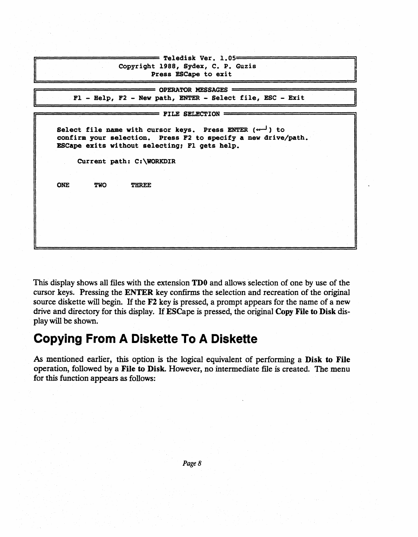Teledisk Ver. 1.05= Copyright 1988, Sydex, C. P. Guzis Press ESCape to exit

 $=$  OPERATOR MESSAGES  $=$ F1 - Help, F2 - New path, ENTER - Select file, ESC - Exit

 $FILE SELECTION$   $=$ 

Select file name with cursor keys. Press ENTER  $(\begin{smallmatrix} \cdots \end{smallmatrix})$  to confirm your selection. Press F2 to specify a new drive/path. ESCape exits without selecting, Fl gets help.

CUrrent path: C:\WORKDIR

ONE TWO THREE

This display shows all files with the extension TDO and allows selection of one by use of the cursor keys. Pressing the ENTER key confirms the selection and recreation of the original source diskette will begin. If the F2 key is pressed, a prompt appears for the name of a new drive and directory for this display. H ESCape is pressed, the original Copy File to Disk display will be shown.

### **Copying From A Diskette To A Diskette**

As mentioned earlier, this option is the logical equivalent of performing a Disk to File operation, followed by a File to Disk. However, no intermediate file is created. The menu for this function appears as follows: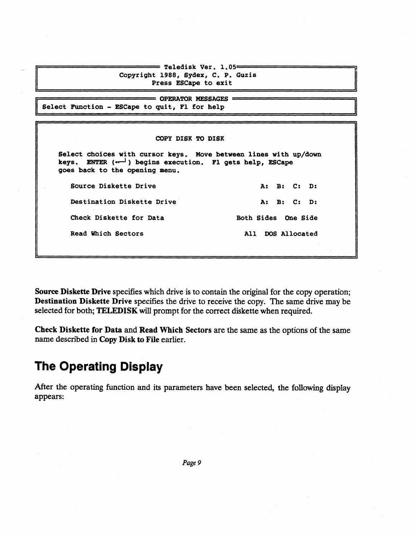| Copyright 1988, Sydex, C. P. Guzis<br>Press ESCape to exit                          |
|-------------------------------------------------------------------------------------|
| <b>EXAMPLE OPERATOR MESSAGES =</b><br>Select Function - ESCape to quit, Fl for help |

#### COpy DISK TO DISK

Select choices with cursor keys. Move between lines with up/down keys. ENTER  $(\leftarrow -)$  begins execution. Fl gets help, ESCape goes back to the opening menu.

Destination Diskette Drive A: B: C: D: Check Diskette for Data Both Sides One Side Read Which Sectors All DOS Allocated

Source Diskette Drive **A: B: C: D:** 

Source Diskette Drive specifies which drive is to contain the original for the copy operation; Destination Diskette Drive specifies the drive to receive the copy. The same drive may be selected for both; TELEDISK will prompt for the correct diskette when required.

Check Diskette for Data and Read Which Sectors are the same as the options of the same name descnbed in Copy Disk to File earlier.

### **The Operating Display**

After the operating function and its parameters have been selected, the following display appears: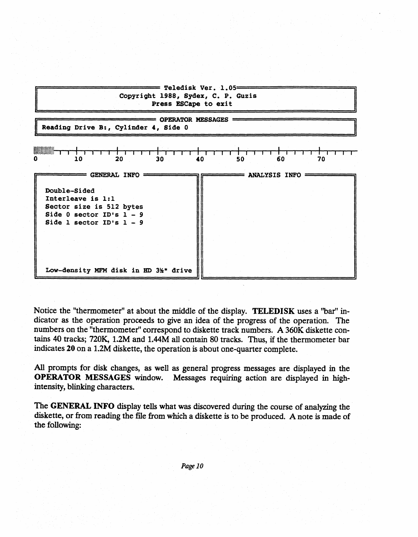

Notice the "thermometer" at about the middle of the display. TELEDISK uses a "bar" indicator as the operation proceeds to give an idea of the progress of the operation. The numbers on the "thermometer" correspond to diskette track numbers. A 360K diskette contains 40 tracks; 720K, 1.2M and 1.44M all contain 80 tracks. Thus, if the thermometer bar indicates 20 on a 1.2M diskette, the operation is about one-quarter complete.

All prompts for disk changes, as well as general progress messages are displayed in the OPERATOR MESSAGES window. Messages requiring action are displayed in bighintensity, blinking characters.

The GENERAL INFO display tells what was discovered during the course of analyzing the diskette, or from reading the file from which a diskette is to be produced. A note is made of the following: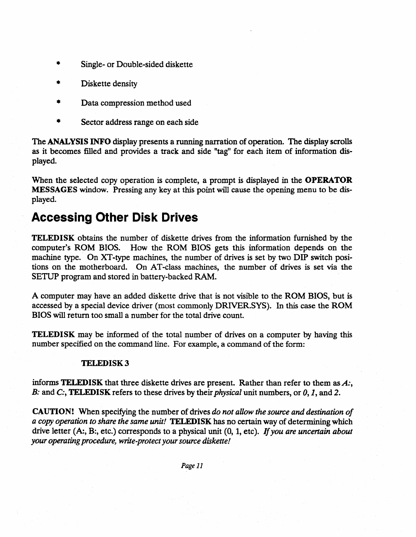- Single- or Double-sided diskette
- Diskette density
- Data compression method used
- Sector address range on each side

The ANALYSIS INFO display presents a running narration of operation. The display scrolls as it becomes filled and provides a track and side "tag" for each item of information displayed.

When the selected copy operation is complete, a prompt is displayed in the **OPERATOR** MESSAGES window. Pressing any key at this point will cause the opening menu to be displayed.

### **Accessing Other Disk Drives**

TELEDISK obtains the number of diskette drives from the information furnished by the computer's ROM BIOS. How the ROM BIOS gets this information depends on the machine type. On XT-type machines, the number of drives is set by two DIP switch positions on the motherboard. On AT-class machines, the number of drives is set via the SETUP program and stored in battery-backed RAM.

A computer may have an added diskette drive that is not visible to the ROM BIOS, but is accessed by a special device driver (most commonly DRIVER.SYS). In this case the ROM BIOS will return too small a number for the total drive count.

TELEDISK may be informed of the total number of drives on a computer by having this number specified on the command line. For example, a command of the form:

#### TELEDISK3

informs TELEDISK that three diskette drives are present. Rather than refer to them as *A*:, *B*: and *C*:, **TELEDISK** refers to these drives by their *physical* unit numbers, or 0, 1, and 2.

CAUTION! When specifying the number of drives *do not aUow the source and destination of a copy operation to share the same unit!* **TELEDISK** has no certain way of determining which drive letter (A:, B:, etc.) corresponds to a physical unit (0, 1, etc). *[fyou are uncertain about your operating procedure, write-protect your source diskette!*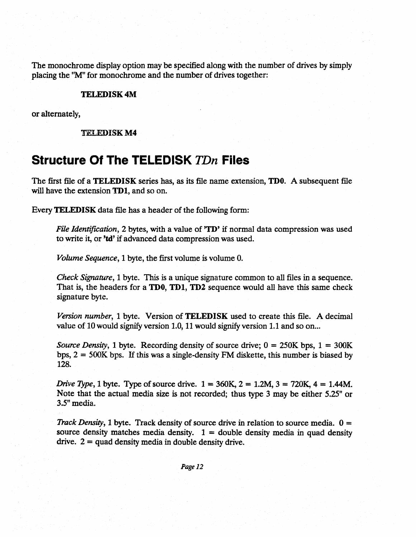The monochrome display option may be specified along with the number of drives by simply placing the ''M'' for monochrome and the number of drives together:

#### TELEDISK 4M

or alternately,

TEl ,EDISK M4

### **Structure Of The TELEDISK** TDn **Files**

The first file of a TELEDISK series has, as its file name extension, TD0. A subsequent file will have the extension TD1, and so on.

Every TELEDISK data file has a header of the following form:

*File Identification,* 2 bytes, with a value of **TD**<sup>*r*</sup> if normal data compression was used to write it, or 'td' if advanced data compression was used.

*Volume Sequence,* 1 byte, the first volume is volume O.

*Check Signature,* 1 byte. This is a unique signature common to all files in a sequence. That is, the headers for a TD0, TD1, TD2 sequence would all have this same check signature byte.

*Version number,* 1 byte. Version of TELEDISK used to create this file. A decimal value of 10 would signify version 1.0, 11 would signify version 1.1 and so on...

*Source Density,* 1 byte. Recording density of source drive;  $0 = 250K$  bps,  $1 = 300K$ bps,  $2 = 500K$  bps. If this was a single-density FM diskette, this number is biased by 128.

*Drive Type, 1 byte. Type of source drive.*  $1 = 360K$ ,  $2 = 1.2M$ ,  $3 = 720K$ ,  $4 = 1.44M$ . Note that the actual media size is not recorded; thus type 3 may be either *5.25"* or 3.5" media.

*Track Density,* 1 byte. Track density of source drive in relation to source media.  $0 =$ source density matches media density.  $1 =$  double density media in quad density drive.  $2 =$  quad density media in double density drive.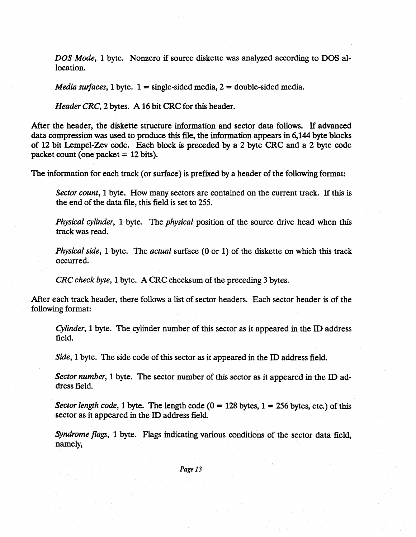*DOS Mode,* 1 byte. Nonzero if source diskette was analyzed according to DOS allocation.

*Media surfaces,* 1 byte.  $1 =$  single-sided media,  $2 =$  double-sided media.

*Header CRC*, 2 bytes. A 16 bit CRC for this header.

After the header, the diskette structure information and sector data follows. H advanced data compression was used to produce this file, the information appears in 6,144 byte blocks of 12 bit Lempel-Zev code. Each block is preceded by a 2 byte CRC and a 2 byte code packet count (one packet  $= 12$  bits).

The information for each track (or surface) is prefixed by a header of the following format:

*Sector count,* 1 byte. How many sectors are contained on the current track. If this is the end of the data file, this field is set to 255.

*Physical cylinder,* 1 byte. The *physical* position of the source drive head when this track was read.

*Physical side,* 1 byte. The *actual* surface (0 or 1) of the diskette on which this track occurred.

*CRC check byte,* 1 byte. A CRC checksum of the preceding 3 bytes.

After each track header, there follows a list of sector headers. Each sector header is of the following format:

*Cylinder,* 1 byte. The cylinder number of this sector as it appeared in the ID address field.

*Side,* 1 byte. The side code of this sector as it appeared in the ID address field.

*Sector number,* 1 byte. The sector number of this sector as it appeared in the ID address field.

*Sector length code,* 1 byte. The length code  $(0 = 128$  bytes,  $1 = 256$  bytes, etc.) of this sector as it appeared in the ID address field.

*Syndrome flags,* 1 byte. Flags indicating various conditions of the sector data field, namely,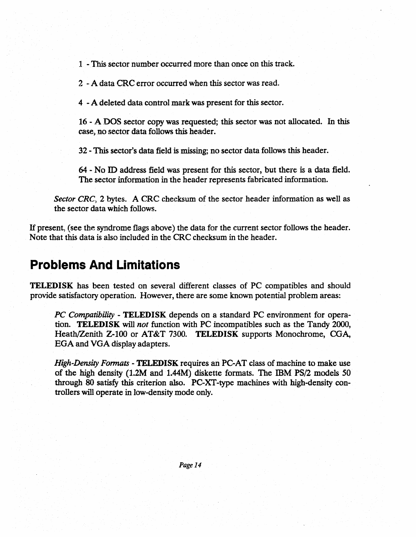1 - This sector number occurred more than once on this track.

2 - A data CRC error occurred when this sector was read.

4 - A deleted data control mark was present for this sector.

16 - A DOS sector copy was requested; this sector was not allocated. In this case, no sector data follows this header.

32 - This sector's data field is missing; no sector data follows this header.

64 - No ID address field was present for this sector, but there is a data field. The sector information in the header represents fabricated information.

*Sector CRC*, 2 bytes. A CRC checksum of the sector header information as well as the sector data which follows.

If present, (see the syndrome flags above) the data for the current sector follows the header. Note that this data is also included in the CRC checksum in the header.

### **Problems And Limitations**

TELEDISK has been tested on several different classes of PC compatibles and should provide satisfactory operation. However, there are some known potential problem areas:

*PC Compatibility* - TELEDISK depends on a standard PC environment for operation. TELEDISK will *not* function with PC incompatibles such as the Tandy 2000, Heath/Zenith Z-100 or AT&T 7300. TELEDISK supports Monochrome, CGA, EGA and VGA display adapters.

*High-Density Formats - TELEDISK requires an PC-AT class of machine to make use* of the high density  $(1.2M$  and  $1.44M$ ) diskette formats. The IBM PS/2 models 50 through 80 satisfy this criterion also. PC-XT -type machines with high-density controllers will operate in low-density mode only.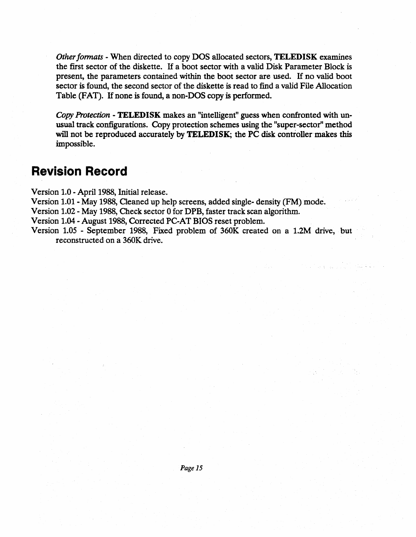*Other fonnats* - When directed to copy DOS allocated sectors, TELEDISK examines the first sector of the diskette. If a boot sector with a valid Disk Parameter Block is present, the parameters contained within the boot sector are used. IT no valid boot sector is found, the second sector of the diskette is read to find a valid File Allocation Table (FAT). IT none is found, a non-DOS copy is performed.

*Copy Protection* - TELEDISK makes an "intelligent" guess when confronted with unusual track configurations. Copy protection schemes using the "super-sector" method will not be reproduced accurately by TELEDISK; the PC disk controller makes this impossible.

### **Revision Record**

Version 1.0 - April 1988, Initial release.

Version 1.01 - May 1988, Qeaned up help screens, added single- density (FM) mode.

Version 1.02 - May 1988, Check sector 0 for DPB, faster track scan algorithm.

Version 1.04 - August 1988, Corrected PC-AT BIOS reset problem.

Version 1.05 - September 1988, Fixed problem of 360K created on a 1.2M drive, but reconstructed on a 360K drive.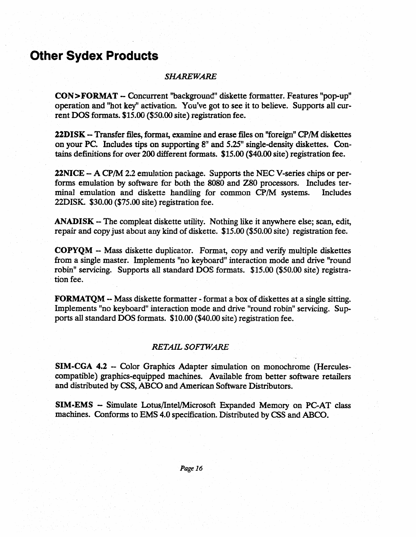### **Other Sydex Products**

#### *SHAREWARE*

CON>FORMAT - Concurrent "backgroundil diskette formatter. Features "pop-up" operation and ''hot key" activation. You've got to see it to believe. Supports all current DOS formats. \$15.00 (\$50.00 site) registration fee.

22DISK - Transfer files, format, examine and erase files on ''foreign'' CP/M diskettes on your PC. Includes tips on supporting  $8$ " and  $5.25$ " single-density diskettes. Contains definitions for over 200 different formats. \$15.00 (\$40.00 site) registration fee.

22NICE - A CP/M 2.2 emulation package. Supports the NEC V-series chips or performs emulation by software for both the 8080 and ZSO processors. Includes terminal emulation and diskette handling for common CP/M systems. Includes 22DISK. \$30.00 (\$75.00 site) registration fee.

ANADISK - The compleat diskette utility. Nothing like it anywhere else; scan, edit, repair and copy just about any kind of diskette. \$15.00 (\$50.00 site) registration fee.

COPYQM - Mass diskette duplicator. Format, copy and verify multiple diskettes from a single master. Implements "no keyboard" interaction mode and drive "round robin" servicing. Supports all standard DOS formats. \$15.00 (\$50.00 site) registration fee.

FORMATQM - Mass diskette formatter - format a box of diskettes at a single sitting. Implements "no keyboard" interaction mode and drive "round robin" servicing. Supports all standard DOS formats. \$10.00 (\$40.00 site) registration fee.

#### *RETAIL SOFIWARE*

SIM-CGA 4.2 - Color Graphics Adapter simulation on monochrome (Herculescompatible) graphics-equipped machines. Available from better software retailers and distributed by CSS, ABCO and American Software Distributors.

SIM-EMS - Simulate Lotus/lntel/Microsoft Expanded Memory on PC-AT class machines. Conforms to EMS 4.0 specification. Distributed by CSS and ABCO.